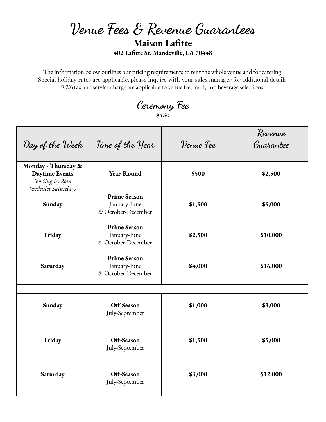## **Venue Fees & Revenue Guarantees Maison Lafitte 402 Lafitte St. Mandeville, LA 70448**

The information below outlines our pricing requirements to rent the whole venue and for catering. Special holiday rates are applicable, please inquire with your sales manager for additional details. 9.2% tax and service charge are applicable to venue fee, food, and beverage selections.

**Ceremony Fee \$750**

| Day of the Week                                                                       | Time of the Year                                          | Venue Fee | Revenue<br>Guarantee |
|---------------------------------------------------------------------------------------|-----------------------------------------------------------|-----------|----------------------|
| Monday - Thursday &<br><b>Daytime Events</b><br>*ending by 2pm<br>*excludes Saturdays | Year-Round                                                | \$500     | \$2,500              |
| Sunday                                                                                | <b>Prime Season</b><br>January-June<br>& October-December | \$1,500   | \$5,000              |
| Friday                                                                                | <b>Prime Season</b><br>January-June<br>& October-December | \$2,500   | \$10,000             |
| Saturday                                                                              | <b>Prime Season</b><br>January-June<br>& October-December | \$4,000   | \$16,000             |
| Sunday                                                                                | Off-Season<br>July-September                              | \$1,000   | \$3,000              |
| Friday                                                                                | Off-Season<br>July-September                              | \$1,500   | \$5,000              |
| Saturday                                                                              | Off-Season<br>July-September                              | \$3,000   | \$12,000             |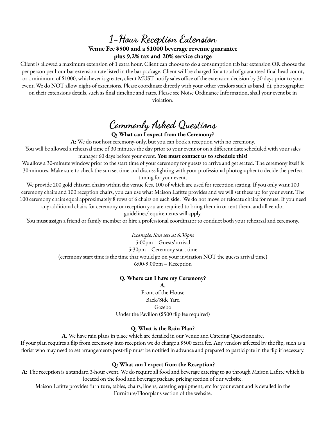**1-Hour Reception Extension**

## **Venue Fee \$500 and a \$1000 beverage revenue guarantee plus 9.2% tax and 20% service charge**

Client is allowed a maximum extension of 1 extra hour. Client can choose to do a consumption tab bar extension OR choose the per person per hour bar extension rate listed in the bar package. Client will be charged for a total of guaranteed final head count, or a minimum of \$1000, whichever is greater, client MUST notify sales office of the extension decision by 30 days prior to your event. We do NOT allow night-of extensions. Please coordinate directly with your other vendors such as band, dj, photographer on their extensions details, such as final timeline and rates. Please see Noise Ordinance Information, shall your event be in violation.

# **Commonly Asked Questions**

### **Q: What can I expect from the Ceremony?**

**A:** We do not host ceremony-only, but you can book a reception with no ceremony.

You will be allowed a rehearsal time of 30 minutes the day prior to your event or on a different date scheduled with your sales manager 60 days before your event. **You must contact us to schedule this!**

We allow a 30-minute window prior to the start time of your ceremony for guests to arrive and get seated. The ceremony itself is 30-minutes. Make sure to check the sun set time and discuss lighting with your professional photographer to decide the perfect timing for your event.

We provide 200 gold chiavari chairs within the venue fees, 100 of which are used for reception seating. If you only want 100 ceremony chairs and 100 reception chairs, you can use what Maison Lafitte provides and we will set these up for your event. The 100 ceremony chairs equal approximately 8 rows of 6 chairs on each side. We do not move or relocate chairs for reuse. If you need any additional chairs for ceremony or reception you are required to bring them in or rent them, and all vendor

guidelines/requirements will apply.

You must assign a friend or family member or hire a professional coordinator to conduct both your rehearsal and ceremony.

*Example: Sun sets at 6:30pm*

5:00pm – Guests' arrival

5:30pm – Ceremony start time

(ceremony start time is the time that would go on your invitation NOT the guests arrival time)

6:00-9:00pm – Reception

## **Q. Where can I have my Ceremony?**

**A.** Front of the House Back/Side Yard Gazebo Under the Pavilion (\$500 flip fee required)

## **Q. What is the Rain Plan?**

**A.** We have rain plans in place which are detailed in our Venue and Catering Questionnaire.

If your plan requires a flip from ceremony into reception we do charge a \$500 extra fee. Any vendors affected by the flip, such as a florist who may need to set arrangements post-flip must be notified in advance and prepared to participate in the flip if necessary.

## **Q: What can I expect from the Reception?**

**A:** The reception is a standard 3-hour event. We do require all food and beverage catering to go through Maison Lafitte which is located on the food and beverage package pricing section of our website.

Maison Lafitte provides furniture, tables, chairs, linens, catering equipment, etc for your event and is detailed in the Furniture/Floorplans section of the website.